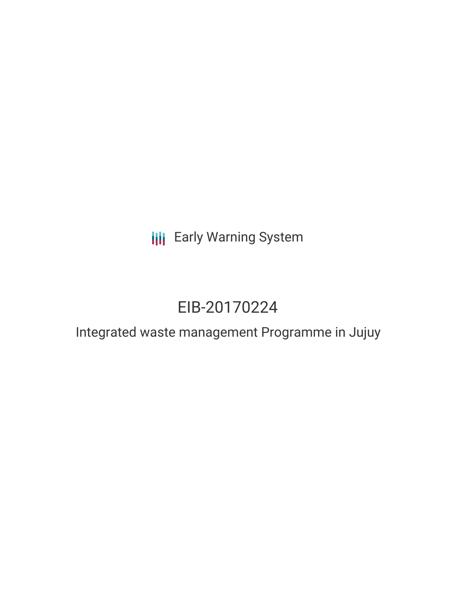**III** Early Warning System

# EIB-20170224

Integrated waste management Programme in Jujuy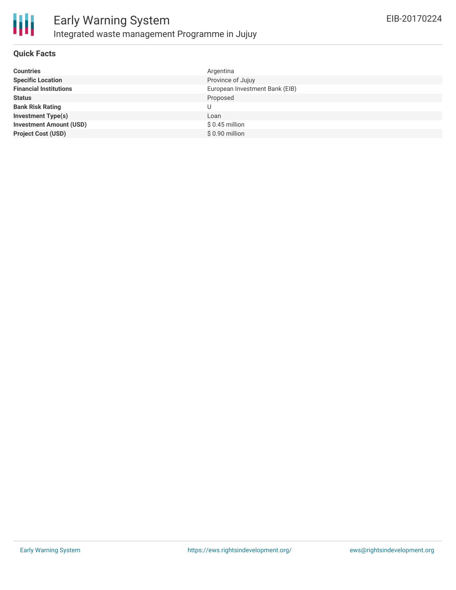

## **Quick Facts**

| <b>Countries</b>               | Argentina                      |
|--------------------------------|--------------------------------|
| <b>Specific Location</b>       | Province of Jujuy              |
| <b>Financial Institutions</b>  | European Investment Bank (EIB) |
| <b>Status</b>                  | Proposed                       |
| <b>Bank Risk Rating</b>        | U                              |
| <b>Investment Type(s)</b>      | Loan                           |
| <b>Investment Amount (USD)</b> | \$0.45 million                 |
| <b>Project Cost (USD)</b>      | \$0.90 million                 |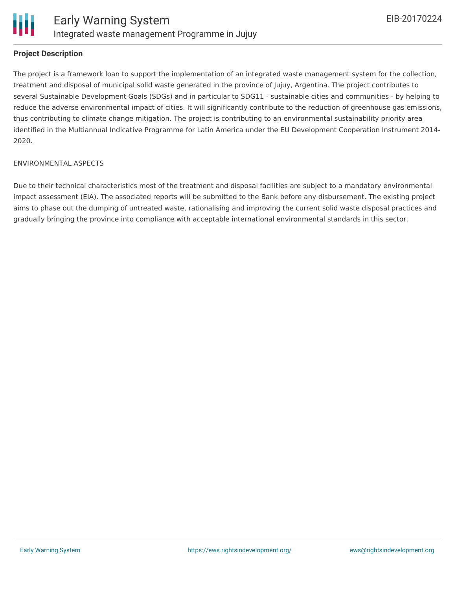

## **Project Description**

The project is a framework loan to support the implementation of an integrated waste management system for the collection, treatment and disposal of municipal solid waste generated in the province of Jujuy, Argentina. The project contributes to several Sustainable Development Goals (SDGs) and in particular to SDG11 - sustainable cities and communities - by helping to reduce the adverse environmental impact of cities. It will significantly contribute to the reduction of greenhouse gas emissions, thus contributing to climate change mitigation. The project is contributing to an environmental sustainability priority area identified in the Multiannual Indicative Programme for Latin America under the EU Development Cooperation Instrument 2014- 2020.

#### ENVIRONMENTAL ASPECTS

Due to their technical characteristics most of the treatment and disposal facilities are subject to a mandatory environmental impact assessment (EIA). The associated reports will be submitted to the Bank before any disbursement. The existing project aims to phase out the dumping of untreated waste, rationalising and improving the current solid waste disposal practices and gradually bringing the province into compliance with acceptable international environmental standards in this sector.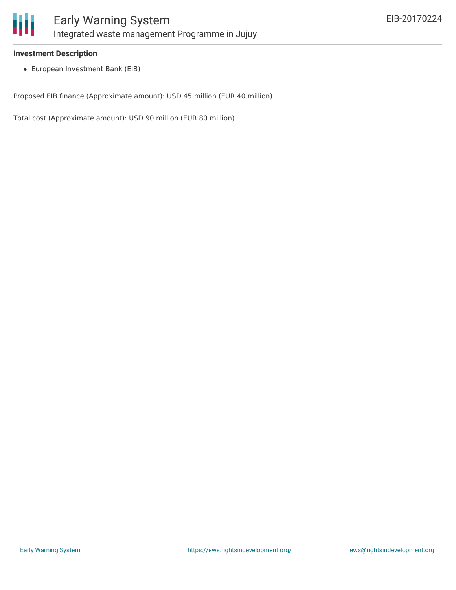

## **Investment Description**

European Investment Bank (EIB)

Proposed EIB finance (Approximate amount): USD 45 million (EUR 40 million)

Total cost (Approximate amount): USD 90 million (EUR 80 million)